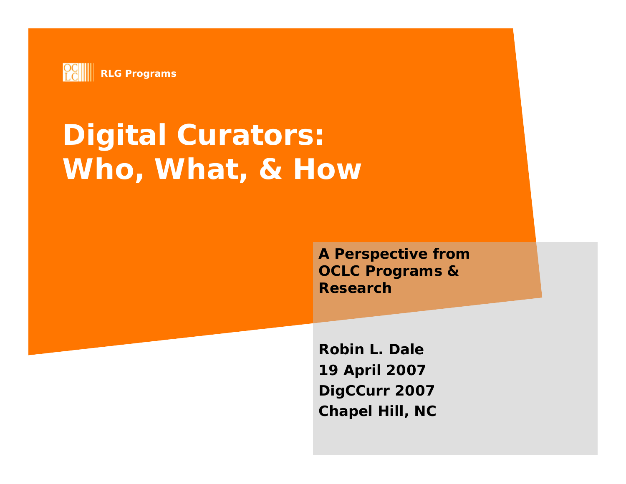

# **Digital Curators: Who, What, & How**

**A Perspective from OCLC Programs & Research**

**Robin L. Dale19 April 2007** *DigCCurr 2007* **Chapel Hill, NC**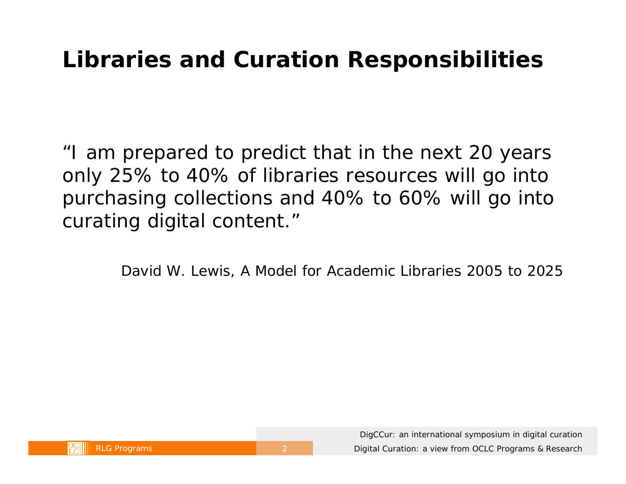#### **Libraries and Curation Responsibilities**

"I am prepared to predict that in the next 20 years only 25% to 40% of libraries resources will go into purchasing collections and 40% to 60% will go into curating digital content."

David W. Lewis, *A Model for Academic Libraries 2005 to 2025*

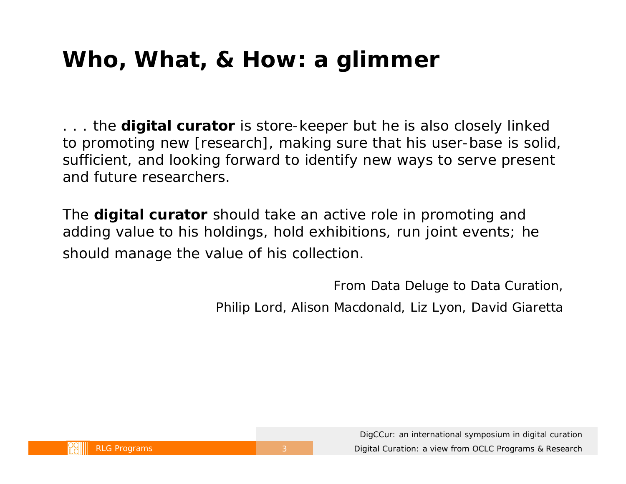### **Who, What, & How: a glimmer**

. . . the **digital curator** is store-keeper but he is also closely linked to promoting new [research], making sure that his user-base is solid, sufficient, and looking forward to identify new ways to serve present and future researchers.

The **digital curator** should take an active role in promoting and adding value to his holdings, hold exhibitions, run joint events; he should manage the value of his collection.

> *From Data Deluge to Data Curation,*  Philip Lord, Alison Macdonald, Liz Lyon, David Giaretta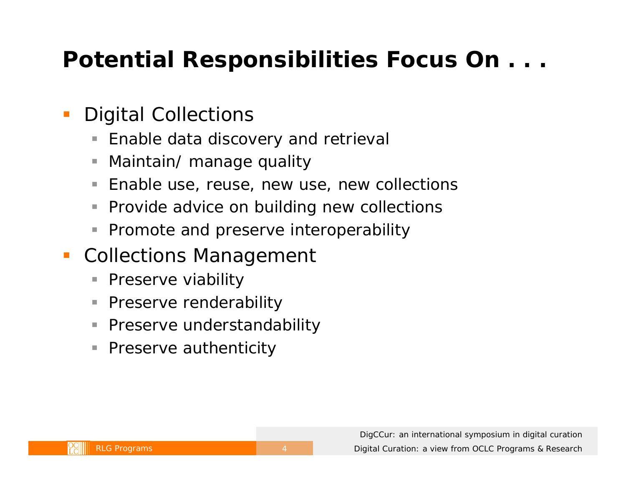### **Potential Responsibilities Focus On . . .**

#### $\overline{\mathbb{R}}$ Digital Collections

- $\Box$ Enable data discovery and retrieval
- E Maintain/ manage quality
- п Enable use, reuse, new use, new collections
- $\Box$ Provide advice on building new collections
- $\overline{\phantom{a}}$ Promote and preserve interoperability
- Collections Management
	- П Preserve viability
	- $\mathcal{L}_{\mathcal{A}}$ Preserve renderability
	- $\mathbb{R}^n$ Preserve understandability
	- П Preserve authenticity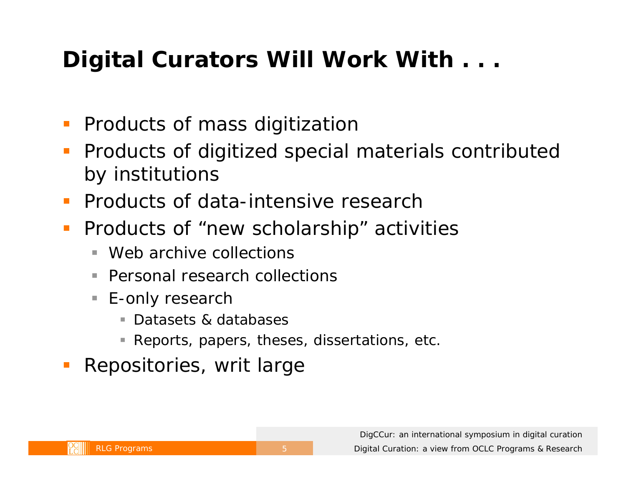## **Digital Curators Will Work With . . .**

- Products of mass digitization
- **Products of digitized special materials contributed** by institutions
- **Products of data-intensive research**
- $\overline{\mathbb{R}^2}$  Products of "new scholarship" activities
	- $\blacksquare$ Web archive collections
	- $\overline{\phantom{a}}$ Personal research collections
	- E-only research
		- Datasets & databases
		- Reports, papers, theses, dissertations, etc.
- Repositories, writ large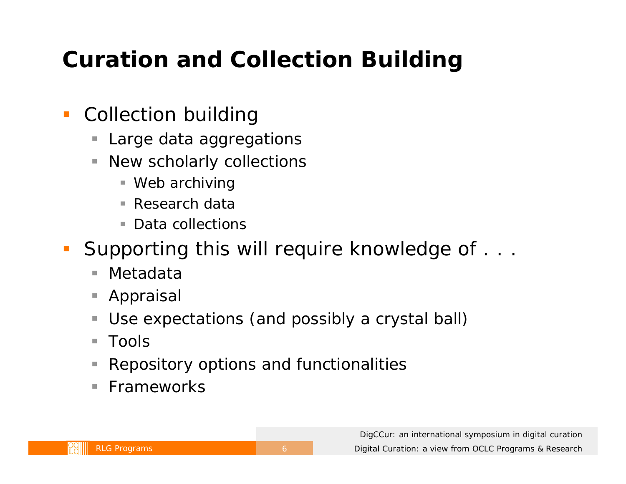## **Curation and Collection Building**

#### $\Box$ Collection building

- D Large data aggregations
- $\Box$  New scholarly collections
	- Web archiving
	- m. Research data
	- $\mathcal{L}_{\mathcal{A}}$ Data collections
- Supporting this will require knowledge of . . .
	- $\Box$ Metadata
	- D Appraisal
	- п Use expectations (and possibly a crystal ball)
	- $\mathbb{R}^n$ Tools
	- E Repository options and functionalities
	- $\mathbb{R}^2$ Frameworks

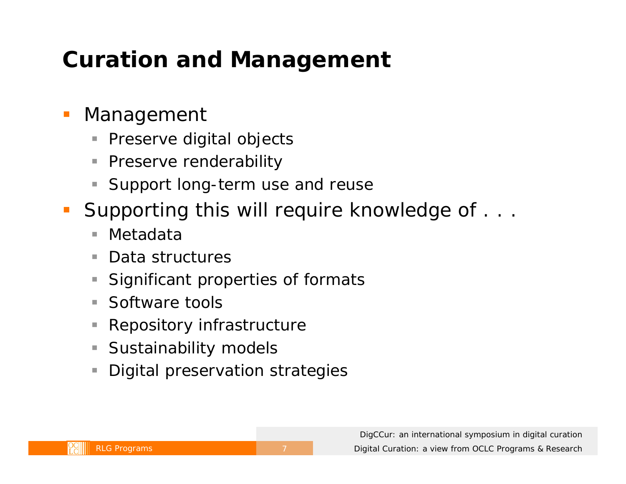### **Curation and Management**

#### $\overline{\mathbb{R}}$ Management

- $\Box$ Preserve digital objects
- $\Box$ Preserve renderability
- п Support long-term use and reuse
- $\mathcal{L}_{\mathcal{A}}$  Supporting this will require knowledge of . . .
	- $\blacksquare$ Metadata
	- П Data structures
	- П Significant properties of formats
	- Software tools
	- $\Box$ Repository infrastructure
	- П Sustainability models
	- E Digital preservation strategies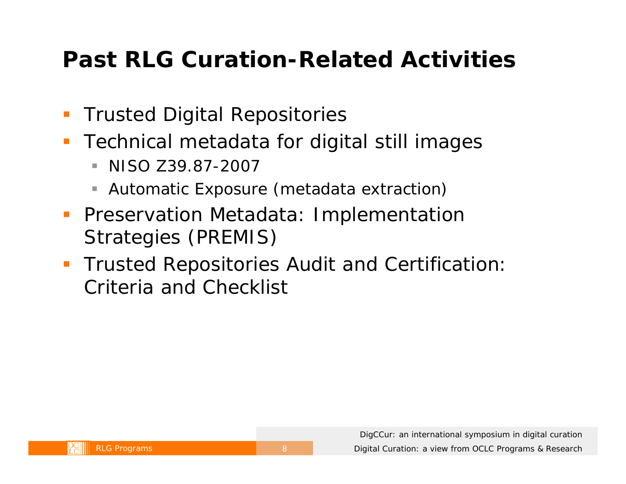### **Past RLG Curation-Related Activities**

- $\mathbb{R}^n$ *Trusted Digital Repositories*
- $\mathbb{R}^n$  Technical metadata for digital still images
	- $\blacksquare$ NISO Z39.87-2007
	- П Automatic Exposure (metadata extraction)
- **Preservation Metadata: Implementation** Strategies (PREMIS)
- *Trusted Repositories Audit and Certification: Criteria and Checklist*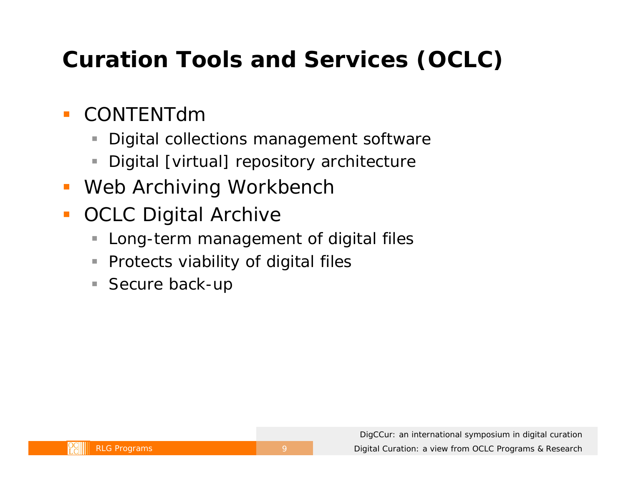## **Curation Tools and Services (OCLC)**

#### $\mathbb{R}^3$ CONTENTdm

- E Digital collections management software
- E Digital [virtual] repository architecture
- Web Archiving Workbench
- $\overline{\phantom{a}}$  OCLC Digital Archive
	- E Long-term management of digital files
	- D Protects viability of digital files
	- $\mathbb{R}^n$ Secure back-up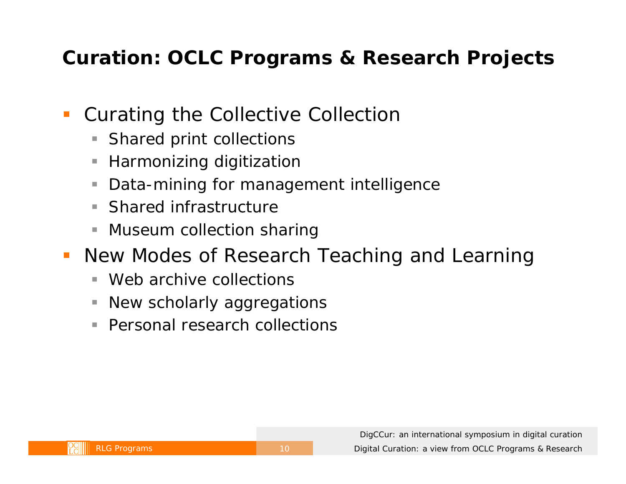#### **Curation: OCLC Programs & Research Projects**

#### $\overline{\mathbb{R}}$ Curating the Collective Collection

- D Shared print collections
- E Harmonizing digitization
- п Data-mining for management intelligence
- $\overline{\phantom{a}}$ Shared infrastructure
- E Museum collection sharing
- **New Modes of Research Teaching and Learning** 
	- ٠ Web archive collections
	- $\overline{\phantom{a}}$ New scholarly aggregations
	- $\blacksquare$ Personal research collections